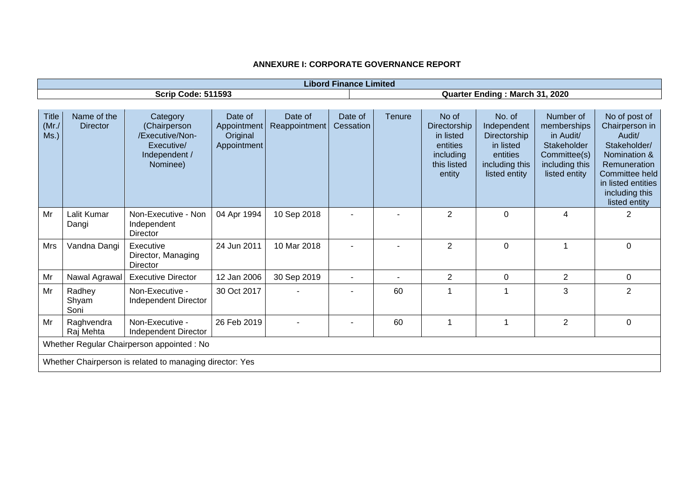|                               |                                |                                                                                        |                                                   |                          | <b>Libord Finance Limited</b> |               |                                                                                      |                                                                                                   |                                                                                                         |                                                                                                                                                                      |
|-------------------------------|--------------------------------|----------------------------------------------------------------------------------------|---------------------------------------------------|--------------------------|-------------------------------|---------------|--------------------------------------------------------------------------------------|---------------------------------------------------------------------------------------------------|---------------------------------------------------------------------------------------------------------|----------------------------------------------------------------------------------------------------------------------------------------------------------------------|
|                               |                                | <b>Scrip Code: 511593</b>                                                              |                                                   |                          |                               |               |                                                                                      | Quarter Ending: March 31, 2020                                                                    |                                                                                                         |                                                                                                                                                                      |
|                               |                                |                                                                                        |                                                   |                          |                               |               |                                                                                      |                                                                                                   |                                                                                                         |                                                                                                                                                                      |
| <b>Title</b><br>(Mr./<br>Ms.) | Name of the<br><b>Director</b> | Category<br>(Chairperson<br>/Executive/Non-<br>Executive/<br>Independent /<br>Nominee) | Date of<br>Appointment<br>Original<br>Appointment | Date of<br>Reappointment | Date of<br>Cessation          | <b>Tenure</b> | No of<br>Directorship<br>in listed<br>entities<br>including<br>this listed<br>entity | No. of<br>Independent<br>Directorship<br>in listed<br>entities<br>including this<br>listed entity | Number of<br>memberships<br>in Audit/<br>Stakeholder<br>Committee(s)<br>including this<br>listed entity | No of post of<br>Chairperson in<br>Audit/<br>Stakeholder/<br>Nomination &<br>Remuneration<br>Committee held<br>in listed entities<br>including this<br>listed entity |
| Mr                            | Lalit Kumar<br>Dangi           | Non-Executive - Non<br>Independent<br>Director                                         | 04 Apr 1994                                       | 10 Sep 2018              |                               |               | $\overline{2}$                                                                       | 0                                                                                                 | 4                                                                                                       | 2                                                                                                                                                                    |
| Mrs                           | Vandna Dangi                   | Executive<br>Director, Managing<br>Director                                            | 24 Jun 2011                                       | 10 Mar 2018              |                               |               | $\overline{2}$                                                                       | 0                                                                                                 |                                                                                                         | $\Omega$                                                                                                                                                             |
| Mr                            | Nawal Agrawal                  | <b>Executive Director</b>                                                              | 12 Jan 2006                                       | 30 Sep 2019              |                               |               | $\overline{2}$                                                                       | 0                                                                                                 | $\overline{2}$                                                                                          | 0                                                                                                                                                                    |
| Mr                            | Radhey<br>Shyam<br>Soni        | Non-Executive -<br>Independent Director                                                | 30 Oct 2017                                       |                          |                               | 60            | 1                                                                                    | 1                                                                                                 | 3                                                                                                       | $\overline{2}$                                                                                                                                                       |
| Mr                            | Raghvendra<br>Raj Mehta        | Non-Executive -<br>Independent Director                                                | 26 Feb 2019                                       |                          |                               | 60            | 1                                                                                    | $\mathbf{1}$                                                                                      | $\overline{2}$                                                                                          | 0                                                                                                                                                                    |
|                               |                                | Whether Regular Chairperson appointed : No                                             |                                                   |                          |                               |               |                                                                                      |                                                                                                   |                                                                                                         |                                                                                                                                                                      |
|                               |                                | Whether Chairperson is related to managing director: Yes                               |                                                   |                          |                               |               |                                                                                      |                                                                                                   |                                                                                                         |                                                                                                                                                                      |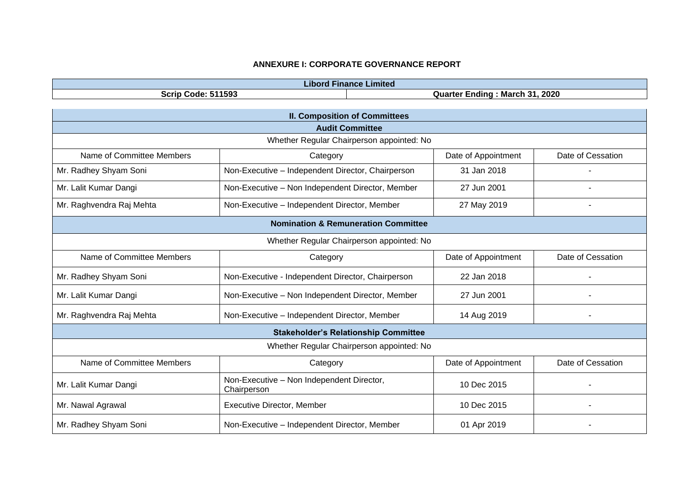| .<br>Libord -     | <b>Finance Limited</b> |
|-------------------|------------------------|
| 511593            | <b>March 31, 2020</b>  |
| Scrip             | Endina                 |
| Code <sup>-</sup> | Quarter                |

| <b>II. Composition of Committees</b> |                                                          |                     |                   |  |  |  |
|--------------------------------------|----------------------------------------------------------|---------------------|-------------------|--|--|--|
|                                      | <b>Audit Committee</b>                                   |                     |                   |  |  |  |
|                                      | Whether Regular Chairperson appointed: No                |                     |                   |  |  |  |
| Name of Committee Members            | Category                                                 | Date of Appointment | Date of Cessation |  |  |  |
| Mr. Radhey Shyam Soni                | Non-Executive - Independent Director, Chairperson        | 31 Jan 2018         |                   |  |  |  |
| Mr. Lalit Kumar Dangi                | Non-Executive - Non Independent Director, Member         | 27 Jun 2001         |                   |  |  |  |
| Mr. Raghvendra Raj Mehta             | Non-Executive - Independent Director, Member             | 27 May 2019         | $\blacksquare$    |  |  |  |
|                                      | <b>Nomination &amp; Remuneration Committee</b>           |                     |                   |  |  |  |
|                                      | Whether Regular Chairperson appointed: No                |                     |                   |  |  |  |
| Name of Committee Members            | Category                                                 | Date of Appointment | Date of Cessation |  |  |  |
| Mr. Radhey Shyam Soni                | Non-Executive - Independent Director, Chairperson        | 22 Jan 2018         |                   |  |  |  |
| Mr. Lalit Kumar Dangi                | Non-Executive - Non Independent Director, Member         | 27 Jun 2001         |                   |  |  |  |
| Mr. Raghvendra Raj Mehta             | Non-Executive - Independent Director, Member             | 14 Aug 2019         |                   |  |  |  |
|                                      | <b>Stakeholder's Relationship Committee</b>              |                     |                   |  |  |  |
|                                      | Whether Regular Chairperson appointed: No                |                     |                   |  |  |  |
| Name of Committee Members            | Category                                                 | Date of Appointment | Date of Cessation |  |  |  |
| Mr. Lalit Kumar Dangi                | Non-Executive - Non Independent Director,<br>Chairperson | 10 Dec 2015         |                   |  |  |  |
| Mr. Nawal Agrawal                    | <b>Executive Director, Member</b>                        | 10 Dec 2015         |                   |  |  |  |
| Mr. Radhey Shyam Soni                | Non-Executive - Independent Director, Member             | 01 Apr 2019         |                   |  |  |  |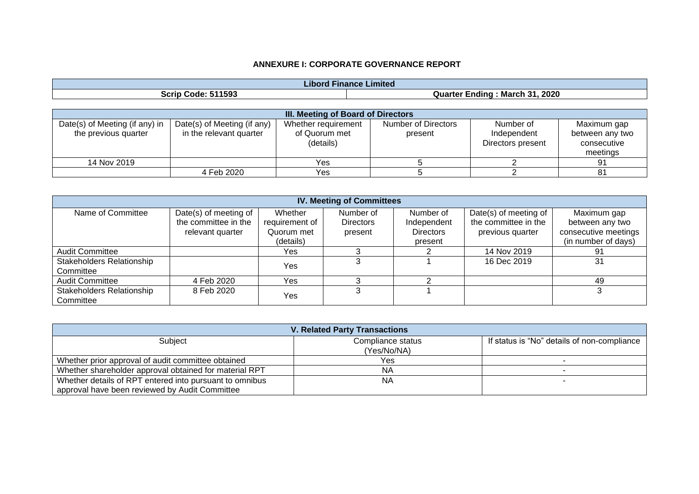| .<br>Limitec<br>-inance<br>Libord |                                                      |  |  |  |
|-----------------------------------|------------------------------------------------------|--|--|--|
| 1593<br>SCrip<br>Code.            | 2020<br>94<br>.<br><b>March</b><br>Quarter<br>:ndinc |  |  |  |

|                                                        | III. Meeting of Board of Directors                     |                                                   |                                |                                               |                                                           |  |  |
|--------------------------------------------------------|--------------------------------------------------------|---------------------------------------------------|--------------------------------|-----------------------------------------------|-----------------------------------------------------------|--|--|
| Date(s) of Meeting (if any) in<br>the previous quarter | Date(s) of Meeting (if any)<br>in the relevant quarter | Whether requirement<br>of Quorum met<br>(details) | Number of Directors<br>present | Number of<br>Independent<br>Directors present | Maximum gap<br>between any two<br>consecutive<br>meetings |  |  |
| 14 Nov 2019                                            |                                                        | Yes                                               |                                |                                               |                                                           |  |  |
|                                                        | 4 Feb 2020                                             | Yes                                               |                                |                                               |                                                           |  |  |

|                                  | <b>IV. Meeting of Committees</b> |                |                  |                  |                       |                      |  |
|----------------------------------|----------------------------------|----------------|------------------|------------------|-----------------------|----------------------|--|
| Name of Committee                | Date(s) of meeting of            | Whether        | Number of        | Number of        | Date(s) of meeting of | Maximum gap          |  |
|                                  | the committee in the             | requirement of | <b>Directors</b> | Independent      | the committee in the  | between any two      |  |
|                                  | relevant quarter                 | Quorum met     | present          | <b>Directors</b> | previous quarter      | consecutive meetings |  |
|                                  |                                  | (details)      |                  | present          |                       | (in number of days)  |  |
| <b>Audit Committee</b>           |                                  | Yes            |                  |                  | 14 Nov 2019           | 91                   |  |
| <b>Stakeholders Relationship</b> |                                  | Yes            |                  |                  | 16 Dec 2019           | 31                   |  |
| Committee                        |                                  |                |                  |                  |                       |                      |  |
| <b>Audit Committee</b>           | 4 Feb 2020                       | Yes            |                  |                  |                       | 49                   |  |
| <b>Stakeholders Relationship</b> | 8 Feb 2020                       | Yes            |                  |                  |                       |                      |  |
| Committee                        |                                  |                |                  |                  |                       |                      |  |

|                                                         | <b>V. Related Party Transactions</b> |                                             |
|---------------------------------------------------------|--------------------------------------|---------------------------------------------|
| Subject                                                 | Compliance status                    | If status is "No" details of non-compliance |
|                                                         | (Yes/No/NA)                          |                                             |
| Whether prior approval of audit committee obtained      | Yes                                  |                                             |
| Whether shareholder approval obtained for material RPT  | ΝA                                   |                                             |
| Whether details of RPT entered into pursuant to omnibus | <b>NA</b>                            |                                             |
| approval have been reviewed by Audit Committee          |                                      |                                             |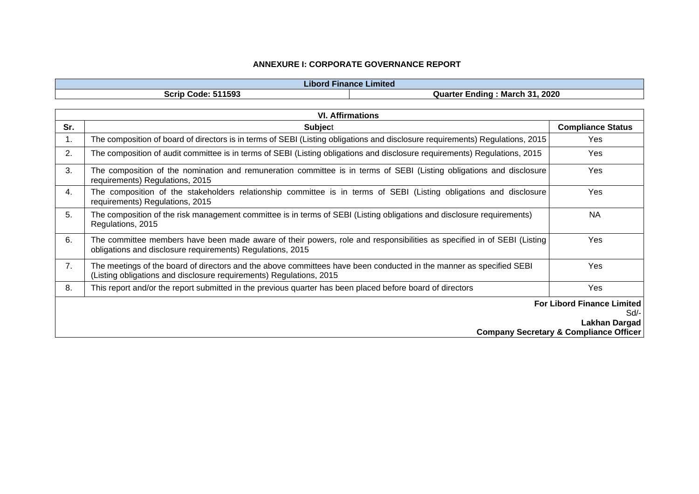| Libord.                   | Finance Limited                                            |
|---------------------------|------------------------------------------------------------|
| <b>Scrip Code: 511593</b> | 2020<br>- 21<br>March 31<br>Quarter<br><sup>.</sup> Endina |

|     | <b>VI. Affirmations</b>                                                                                                                                                                    |                                                   |  |  |
|-----|--------------------------------------------------------------------------------------------------------------------------------------------------------------------------------------------|---------------------------------------------------|--|--|
| Sr. | <b>Subject</b>                                                                                                                                                                             | <b>Compliance Status</b>                          |  |  |
| 1.  | The composition of board of directors is in terms of SEBI (Listing obligations and disclosure requirements) Regulations, 2015                                                              | Yes                                               |  |  |
| 2.  | The composition of audit committee is in terms of SEBI (Listing obligations and disclosure requirements) Regulations, 2015                                                                 | Yes                                               |  |  |
| 3.  | The composition of the nomination and remuneration committee is in terms of SEBI (Listing obligations and disclosure<br>requirements) Regulations, 2015                                    | Yes                                               |  |  |
| 4.  | The composition of the stakeholders relationship committee is in terms of SEBI (Listing obligations and disclosure<br>requirements) Regulations, 2015                                      | <b>Yes</b>                                        |  |  |
| 5.  | The composition of the risk management committee is in terms of SEBI (Listing obligations and disclosure requirements)<br>Regulations, 2015                                                | <b>NA</b>                                         |  |  |
| 6.  | The committee members have been made aware of their powers, role and responsibilities as specified in of SEBI (Listing)<br>obligations and disclosure requirements) Regulations, 2015      | <b>Yes</b>                                        |  |  |
| 7.  | The meetings of the board of directors and the above committees have been conducted in the manner as specified SEBI<br>(Listing obligations and disclosure requirements) Regulations, 2015 | <b>Yes</b>                                        |  |  |
| 8.  | This report and/or the report submitted in the previous quarter has been placed before board of directors                                                                                  | Yes                                               |  |  |
|     |                                                                                                                                                                                            | <b>For Libord Finance Limited</b>                 |  |  |
|     | Sd/-                                                                                                                                                                                       |                                                   |  |  |
|     |                                                                                                                                                                                            | Lakhan Dargad                                     |  |  |
|     |                                                                                                                                                                                            | <b>Company Secretary &amp; Compliance Officer</b> |  |  |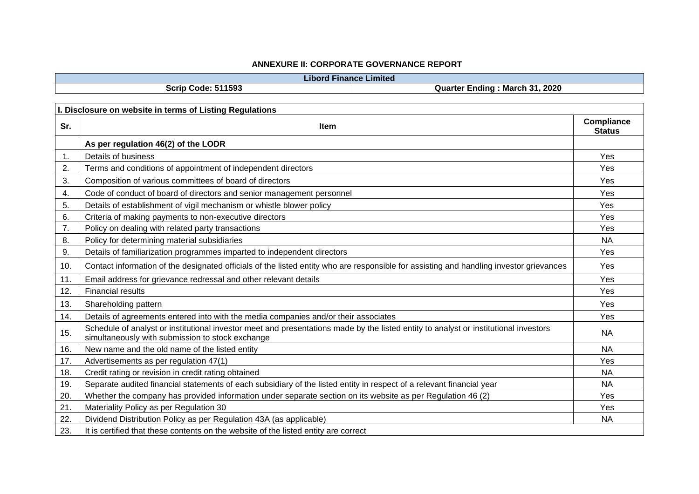**Libord Finance Limited**

**Scrip Code: 511593 Quarter Ending : March 31, 2020**

|     | I. Disclosure on website in terms of Listing Regulations                                                                                                                                 |                                    |
|-----|------------------------------------------------------------------------------------------------------------------------------------------------------------------------------------------|------------------------------------|
| Sr. | <b>Item</b>                                                                                                                                                                              | <b>Compliance</b><br><b>Status</b> |
|     | As per regulation 46(2) of the LODR                                                                                                                                                      |                                    |
| 1.  | Details of business                                                                                                                                                                      | Yes                                |
| 2.  | Terms and conditions of appointment of independent directors                                                                                                                             | Yes                                |
| 3.  | Composition of various committees of board of directors                                                                                                                                  | Yes                                |
| 4.  | Code of conduct of board of directors and senior management personnel                                                                                                                    | Yes                                |
| 5.  | Details of establishment of vigil mechanism or whistle blower policy                                                                                                                     | Yes                                |
| 6.  | Criteria of making payments to non-executive directors                                                                                                                                   | Yes                                |
| 7.  | Policy on dealing with related party transactions                                                                                                                                        | Yes                                |
| 8.  | Policy for determining material subsidiaries                                                                                                                                             | <b>NA</b>                          |
| 9.  | Details of familiarization programmes imparted to independent directors                                                                                                                  | Yes                                |
| 10. | Contact information of the designated officials of the listed entity who are responsible for assisting and handling investor grievances                                                  | Yes                                |
| 11. | Email address for grievance redressal and other relevant details                                                                                                                         | Yes                                |
| 12. | <b>Financial results</b>                                                                                                                                                                 | Yes                                |
| 13. | Shareholding pattern                                                                                                                                                                     | Yes                                |
| 14. | Details of agreements entered into with the media companies and/or their associates                                                                                                      | Yes                                |
| 15. | Schedule of analyst or institutional investor meet and presentations made by the listed entity to analyst or institutional investors<br>simultaneously with submission to stock exchange | <b>NA</b>                          |
| 16. | New name and the old name of the listed entity                                                                                                                                           | <b>NA</b>                          |
| 17. | Advertisements as per regulation 47(1)                                                                                                                                                   | Yes                                |
| 18. | Credit rating or revision in credit rating obtained                                                                                                                                      | <b>NA</b>                          |
| 19. | Separate audited financial statements of each subsidiary of the listed entity in respect of a relevant financial year                                                                    | <b>NA</b>                          |
| 20. | Whether the company has provided information under separate section on its website as per Regulation 46 (2)                                                                              | Yes                                |
| 21. | Materiality Policy as per Regulation 30                                                                                                                                                  | Yes                                |
| 22. | Dividend Distribution Policy as per Regulation 43A (as applicable)                                                                                                                       | <b>NA</b>                          |
| 23. | It is certified that these contents on the website of the listed entity are correct                                                                                                      |                                    |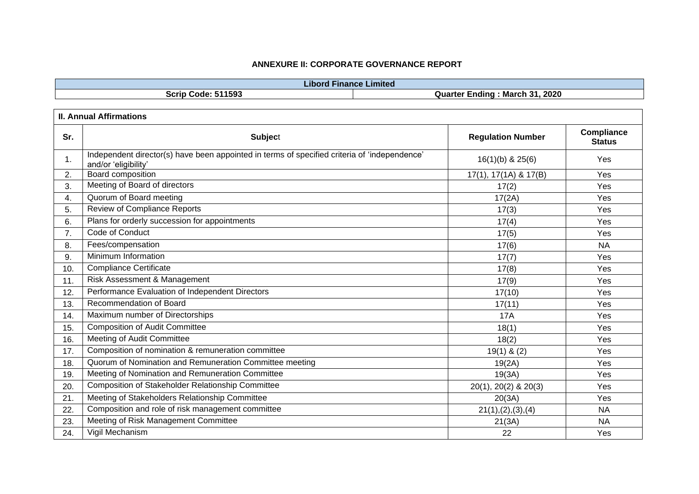| Libord                     | Finance Limited                              |
|----------------------------|----------------------------------------------|
| 511593<br>Scrip (<br>Code: | . 2020<br>-31.<br>March<br>Quarter<br>Endina |
|                            |                                              |

| Sr. | <b>Subject</b>                                                                                                       | <b>Regulation Number</b>     | Compliance<br><b>Status</b> |
|-----|----------------------------------------------------------------------------------------------------------------------|------------------------------|-----------------------------|
| 1.  | Independent director(s) have been appointed in terms of specified criteria of 'independence'<br>and/or 'eligibility' | $16(1)(b)$ & $25(6)$         | Yes                         |
| 2.  | Board composition                                                                                                    | $17(1)$ , $17(1A)$ & $17(B)$ | Yes                         |
| 3.  | Meeting of Board of directors                                                                                        | 17(2)                        | Yes                         |
| 4.  | Quorum of Board meeting                                                                                              | 17(2A)                       | Yes                         |
| 5.  | <b>Review of Compliance Reports</b>                                                                                  | 17(3)                        | Yes                         |
| 6.  | Plans for orderly succession for appointments                                                                        | 17(4)                        | Yes                         |
| 7.  | Code of Conduct                                                                                                      | 17(5)                        | Yes                         |
| 8.  | Fees/compensation                                                                                                    | 17(6)                        | <b>NA</b>                   |
| 9.  | Minimum Information                                                                                                  | 17(7)                        | Yes                         |
| 10. | <b>Compliance Certificate</b>                                                                                        | 17(8)                        | Yes                         |
| 11. | Risk Assessment & Management                                                                                         | 17(9)                        | Yes                         |
| 12. | Performance Evaluation of Independent Directors                                                                      | 17(10)                       | Yes                         |
| 13. | Recommendation of Board                                                                                              | 17(11)                       | Yes                         |
| 14. | Maximum number of Directorships                                                                                      | <b>17A</b>                   | Yes                         |
| 15. | <b>Composition of Audit Committee</b>                                                                                | 18(1)                        | Yes                         |
| 16. | Meeting of Audit Committee                                                                                           | 18(2)                        | Yes                         |
| 17. | Composition of nomination & remuneration committee                                                                   | $19(1)$ & $(2)$              | Yes                         |
| 18. | Quorum of Nomination and Remuneration Committee meeting                                                              | 19(2A)                       | Yes                         |
| 19. | Meeting of Nomination and Remuneration Committee                                                                     | 19(3A)                       | Yes                         |
| 20. | Composition of Stakeholder Relationship Committee                                                                    | 20(1), 20(2) & 20(3)         | Yes                         |
| 21. | Meeting of Stakeholders Relationship Committee                                                                       | 20(3A)                       | Yes                         |
| 22. | Composition and role of risk management committee                                                                    | 21(1), (2), (3), (4)         | <b>NA</b>                   |
| 23. | Meeting of Risk Management Committee                                                                                 | 21(3A)                       | <b>NA</b>                   |
| 24. | Vigil Mechanism                                                                                                      | 22                           | Yes                         |